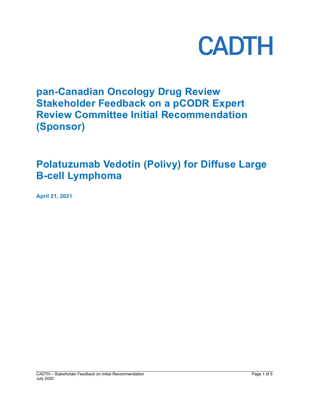

# **pan-Canadian Oncology Drug Review Stakeholder Feedback on a pCODR Expert Review Committee Initial Recommendation (Sponsor)**

# **Polatuzumab Vedotin (Polivy) for Diffuse Large B-cell Lymphoma**

**April 21, 2021**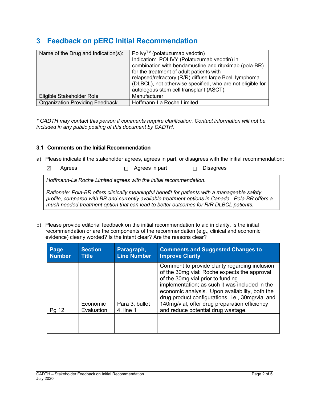## **3 Feedback on pERC Initial Recommendation**

| Name of the Drug and Indication(s):    | Polivy™ (polatuzumab vedotin)<br>Indication: POLIVY (Polatuzumab vedotin) in<br>combination with bendamustine and rituximab (pola-BR)<br>for the treatment of adult patients with<br>relapsed/refractory (R/R) diffuse large Bcell lymphoma<br>(DLBCL), not otherwise specified, who are not eligible for<br>autologous stem cell transplant (ASCT). |
|----------------------------------------|------------------------------------------------------------------------------------------------------------------------------------------------------------------------------------------------------------------------------------------------------------------------------------------------------------------------------------------------------|
| Eligible Stakeholder Role              | Manufacturer                                                                                                                                                                                                                                                                                                                                         |
| <b>Organization Providing Feedback</b> | Hoffmann-La Roche Limited                                                                                                                                                                                                                                                                                                                            |

*\* CADTH may contact this person if comments require clarification. Contact information will not be included in any public posting of this document by CADTH.*

## **3.1 Comments on the Initial Recommendation**

- a) Please indicate if the stakeholder agrees, agrees in part, or disagrees with the initial recommendation:
	- ☒ Agrees ☐ Agrees in part ☐ Disagrees

*Hoffmann-La Roche Limited agrees with the initial recommendation.* 

*Rationale: Pola-BR offers clinically meaningful benefit for patients with a manageable safety profile, compared with BR and currently available treatment options in Canada. Pola-BR offers a much needed treatment option that can lead to better outcomes for R/R DLBCL patients.*

b) Please provide editorial feedback on the initial recommendation to aid in clarity. Is the initial recommendation or are the components of the recommendation (e.g., clinical and economic evidence) clearly worded? Is the intent clear? Are the reasons clear?

| Page<br><b>Number</b> | <b>Section</b><br><b>Title</b> | Paragraph,<br><b>Line Number</b> | <b>Comments and Suggested Changes to</b><br><b>Improve Clarity</b>                                                                                                                                                                                                                                                                                                                 |
|-----------------------|--------------------------------|----------------------------------|------------------------------------------------------------------------------------------------------------------------------------------------------------------------------------------------------------------------------------------------------------------------------------------------------------------------------------------------------------------------------------|
| Pg 12                 | Economic<br>Evaluation         | Para 3, bullet<br>4, line 1      | Comment to provide clarity regarding inclusion<br>of the 30mg vial: Roche expects the approval<br>of the 30mg vial prior to funding<br>implementation; as such it was included in the<br>economic analysis. Upon availability, both the<br>drug product configurations, i.e., 30mg/vial and<br>140mg/vial, offer drug preparation efficiency<br>and reduce potential drug wastage. |
|                       |                                |                                  |                                                                                                                                                                                                                                                                                                                                                                                    |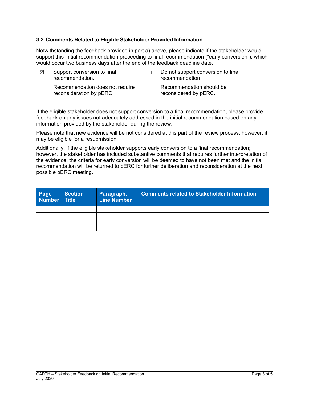### **3.2 Comments Related to Eligible Stakeholder Provided Information**

Notwithstanding the feedback provided in part a) above, please indicate if the stakeholder would support this initial recommendation proceeding to final recommendation ("early conversion"), which would occur two business days after the end of the feedback deadline date.

| ⊠ | Support conversion to final<br>recommendation.              | Do not support conversion to final<br>recommendation. |  |
|---|-------------------------------------------------------------|-------------------------------------------------------|--|
|   | Recommendation does not require<br>reconsideration by pERC. | Recommendation should be<br>reconsidered by pERC.     |  |

If the eligible stakeholder does not support conversion to a final recommendation, please provide feedback on any issues not adequately addressed in the initial recommendation based on any information provided by the stakeholder during the review.

Please note that new evidence will be not considered at this part of the review process, however, it may be eligible for a resubmission.

Additionally, if the eligible stakeholder supports early conversion to a final recommendation; however, the stakeholder has included substantive comments that requires further interpretation of the evidence, the criteria for early conversion will be deemed to have not been met and the initial recommendation will be returned to pERC for further deliberation and reconsideration at the next possible pERC meeting.

| Page Section | <b>Section</b> | Paragraph,<br><b>Line Number</b> | <b>Comments related to Stakeholder Information</b> |
|--------------|----------------|----------------------------------|----------------------------------------------------|
|              |                |                                  |                                                    |
|              |                |                                  |                                                    |
|              |                |                                  |                                                    |
|              |                |                                  |                                                    |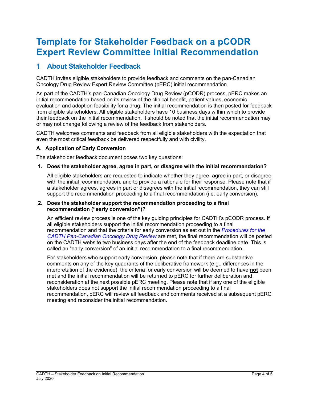## **Template for Stakeholder Feedback on a pCODR Expert Review Committee Initial Recommendation**

## **1 About Stakeholder Feedback**

CADTH invites eligible stakeholders to provide feedback and comments on the pan-Canadian Oncology Drug Review Expert Review Committee (pERC) initial recommendation.

As part of the CADTH's pan-Canadian Oncology Drug Review (pCODR) process, pERC makes an initial recommendation based on its review of the clinical benefit, patient values, economic evaluation and adoption feasibility for a drug. The initial recommendation is then posted for feedback from eligible stakeholders. All eligible stakeholders have 10 business days within which to provide their feedback on the initial recommendation. It should be noted that the initial recommendation may or may not change following a review of the feedback from stakeholders.

CADTH welcomes comments and feedback from all eligible stakeholders with the expectation that even the most critical feedback be delivered respectfully and with civility.

### **A. Application of Early Conversion**

The stakeholder feedback document poses two key questions:

**1. Does the stakeholder agree, agree in part, or disagree with the initial recommendation?**

All eligible stakeholders are requested to indicate whether they agree, agree in part, or disagree with the initial recommendation, and to provide a rationale for their response. Please note that if a stakeholder agrees, agrees in part or disagrees with the initial recommendation, they can still support the recommendation proceeding to a final recommendation (i.e. early conversion).

#### **2. Does the stakeholder support the recommendation proceeding to a final recommendation ("early conversion")?**

An efficient review process is one of the key guiding principles for CADTH's pCODR process. If all eligible stakeholders support the initial recommendation proceeding to a final recommendation and that the criteria for early conversion as set out in the *[Procedures for the](https://www.cadth.ca/sites/default/files/pcodr/pCODR%27s%20Drug%20Review%20Process/pcodr-procedures.pdf)  [CADTH Pan-Canadian Oncology Drug Review](https://www.cadth.ca/sites/default/files/pcodr/pCODR%27s%20Drug%20Review%20Process/pcodr-procedures.pdf)* are met, the final recommendation will be posted on the CADTH website two business days after the end of the feedback deadline date. This is called an "early conversion" of an initial recommendation to a final recommendation.

For stakeholders who support early conversion, please note that if there are substantive comments on any of the key quadrants of the deliberative framework (e.g., differences in the interpretation of the evidence), the criteria for early conversion will be deemed to have **not** been met and the initial recommendation will be returned to pERC for further deliberation and reconsideration at the next possible pERC meeting. Please note that if any one of the eligible stakeholders does not support the initial recommendation proceeding to a final recommendation, pERC will review all feedback and comments received at a subsequent pERC meeting and reconsider the initial recommendation.